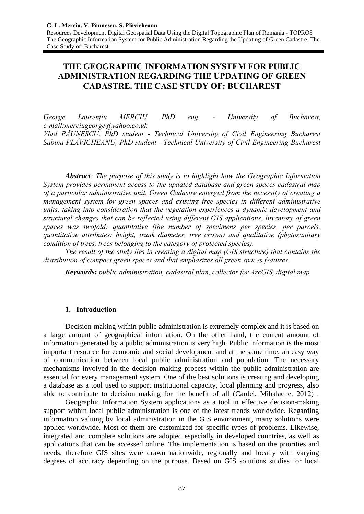Resources Development Digital Geospatial Data Using the Digital Topographic Plan of Romania - TOPRO5 The Geographic Information System for Public Administration Regarding the Updating of Green Cadastre. The Case Study of: Bucharest

# **THE GEOGRAPHIC INFORMATION SYSTEM FOR PUBLIC ADMINISTRATION REGARDING THE UPDATING OF GREEN CADASTRE. THE CASE STUDY OF: BUCHAREST**

*George Laurențiu MERCIU, PhD eng. - University of Bucharest, e-mail:merciugeorge@yahoo.co.uk Vlad PĂUNESCU, PhD student - Technical University of Civil Engineering Bucharest Sabina PLĂVICHEANU, PhD student - Technical University of Civil Engineering Bucharest* 

*Abstract: The purpose of this study is to highlight how the Geographic Information System provides permanent access to the updated database and green spaces cadastral map of a particular administrative unit. Green Cadastre emerged from the necessity of creating a management system for green spaces and existing tree species in different administrative units, taking into consideration that the vegetation experiences a dynamic development and structural changes that can be reflected using different GIS applications. Inventory of green spaces was twofold: quantitative (the number of specimens per species, per parcels, quantitative attributes: height, trunk diameter, tree crown) and qualitative (phytosanitary condition of trees, trees belonging to the category of protected species).* 

*The result of the study lies in creating a digital map (GIS structure) that contains the distribution of compact green spaces and that emphasizes all green spaces features.* 

*Keywords: public administration, cadastral plan, collector for ArcGIS, digital map* 

# **1. Introduction**

Decision-making within public administration is extremely complex and it is based on a large amount of geographical information. On the other hand, the current amount of information generated by a public administration is very high. Public information is the most important resource for economic and social development and at the same time, an easy way of communication between local public administration and population. The necessary mechanisms involved in the decision making process within the public administration are essential for every management system. One of the best solutions is creating and developing a database as a tool used to support institutional capacity, local planning and progress, also able to contribute to decision making for the benefit of all (Cardei, Mihalache, 2012) .

 Geographic Information System applications as a tool in effective decision-making support within local public administration is one of the latest trends worldwide. Regarding information valuing by local administration in the GIS environment, many solutions were applied worldwide. Most of them are customized for specific types of problems. Likewise, integrated and complete solutions are adopted especially in developed countries, as well as applications that can be accessed online. The implementation is based on the priorities and needs, therefore GIS sites were drawn nationwide, regionally and locally with varying degrees of accuracy depending on the purpose. Based on GIS solutions studies for local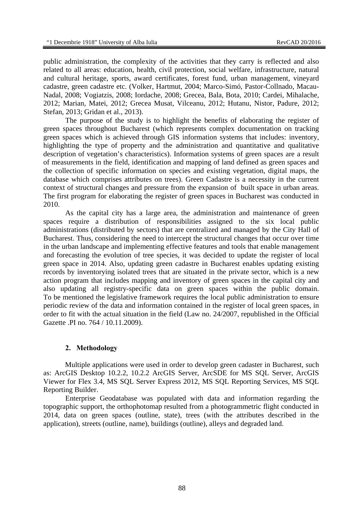public administration, the complexity of the activities that they carry is reflected and also related to all areas: education, health, civil protection, social welfare, infrastructure, natural and cultural heritage, sports, award certificates, forest fund, urban management, vineyard cadastre, green cadastre etc. (Volker, Hartmut, 2004; Marco-Simó, Pastor-Collnado, Macau-Nadal, 2008; Vogiatzis, 2008; Iordache, 2008; Grecea, Bala, Bota, 2010; Cardei, Mihalache, 2012; Marian, Matei, 2012; Grecea Musat, Vilceanu, 2012; Hutanu, Nistor, Padure, 2012; Stefan, 2013; Gridan et al., 2013).

The purpose of the study is to highlight the benefits of elaborating the register of green spaces throughout Bucharest (which represents complex documentation on tracking green spaces which is achieved through GIS information systems that includes: inventory, highlighting the type of property and the administration and quantitative and qualitative description of vegetation's characteristics). Information systems of green spaces are a result of measurements in the field, identification and mapping of land defined as green spaces and the collection of specific information on species and existing vegetation, digital maps, the database which comprises attributes on trees). Green Cadastre is a necessity in the current context of structural changes and pressure from the expansion of built space in urban areas. The first program for elaborating the register of green spaces in Bucharest was conducted in 2010.

As the capital city has a large area, the administration and maintenance of green spaces require a distribution of responsibilities assigned to the six local public administrations (distributed by sectors) that are centralized and managed by the City Hall of Bucharest. Thus, considering the need to intercept the structural changes that occur over time in the urban landscape and implementing effective features and tools that enable management and forecasting the evolution of tree species, it was decided to update the register of local green space in 2014. Also, updating green cadastre in Bucharest enables updating existing records by inventorying isolated trees that are situated in the private sector, which is a new action program that includes mapping and inventory of green spaces in the capital city and also updating all registry-specific data on green spaces within the public domain. To be mentioned the legislative framework requires the local public administration to ensure periodic review of the data and information contained in the register of local green spaces, in order to fit with the actual situation in the field (Law no. 24/2007, republished in the Official Gazette .PI no. 764 / 10.11.2009).

#### **2. Methodology**

Multiple applications were used in order to develop green cadaster in Bucharest, such as: ArcGIS Desktop 10.2.2, 10.2.2 ArcGIS Server, ArcSDE for MS SQL Server, ArcGIS Viewer for Flex 3.4, MS SQL Server Express 2012, MS SQL Reporting Services, MS SQL Reporting Builder.

Enterprise Geodatabase was populated with data and information regarding the topographic support, the orthophotomap resulted from a photogrammetric flight conducted in 2014, data on green spaces (outline, state), trees (with the attributes described in the application), streets (outline, name), buildings (outline), alleys and degraded land.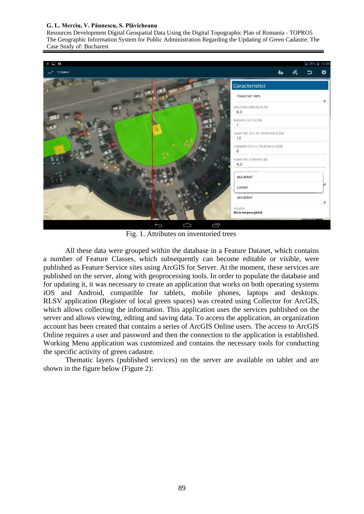#### **G. L. Merciu, V. Păunescu, S. Plăvicheanu**

Resources Development Digital Geospatial Data Using the Digital Topographic Plan of Romania - TOPRO5 The Geographic Information System for Public Administration Regarding the Updating of Green Cadastre. The Case Study of: Bucharest

| É.<br>E                              | $  $ 14:38                               |  |  |   |  |
|--------------------------------------|------------------------------------------|--|--|---|--|
| TERMINAT                             | Ťo                                       |  |  | ☆ |  |
| $\bullet$                            | Caracteristici                           |  |  |   |  |
|                                      | TOALETAT 100%                            |  |  |   |  |
| $6.0$                                | INALTIMEA ARBORELUI [M]                  |  |  |   |  |
| $\mathbb{R}$                         | NUMARUL DE TULPINI                       |  |  |   |  |
| 噻<br>$\frac{12}{1}$<br>۰             | DIAMETRUL UTIL AL TRUNCHIULUI [CM]       |  |  |   |  |
| ٠<br>$\overline{0}$<br>$\frac{1}{2}$ | LUNGIMEA UTILA A TRUNCHIULUI [CM]        |  |  |   |  |
| 4.0                                  | DIAMETRUL COROANEI [M]                   |  |  |   |  |
|                                      | <b>CHURCH CELL PLACE COM</b><br>NELUCRAT |  |  |   |  |
| ۰                                    | LUCRAT                                   |  |  |   |  |
|                                      | NELUCRAT                                 |  |  |   |  |
| ATAŞÃRI                              | Nicio atașare găsită                     |  |  |   |  |
| ᆿ                                    |                                          |  |  |   |  |

Fig. 1. Attributes on inventoried trees

All these data were grouped within the database in a Feature Dataset, which contains a number of Feature Classes, which subsequently can become editable or visible, were published as Feature Service sites using ArcGIS for Server. At the moment, these services are published on the server, along with geoprocessing tools. In order to populate the database and for updating it, it was necessary to create an application that works on both operating systems iOS and Android, compatible for tablets, mobile phones, laptops and desktops. RLSV application (Register of local green spaces) was created using Collector for ArcGIS, which allows collecting the information. This application uses the services published on the server and allows viewing, editing and saving data. To access the application, an organization account has been created that contains a series of ArcGIS Online users. The access to ArcGIS Online requires a user and password and then the connection to the application is established. Working Menu application was customized and contains the necessary tools for conducting the specific activity of green cadastre.

Thematic layers (published services) on the server are available on tablet and are shown in the figure below (Figure 2):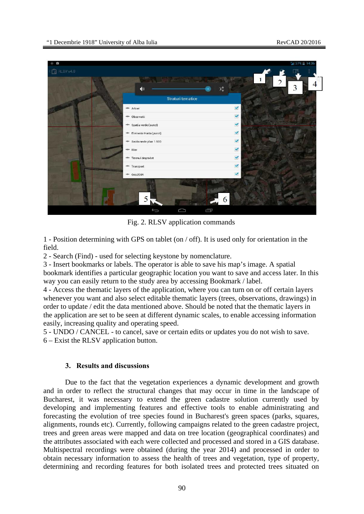

Fig. 2. RLSV application commands

1 - Position determining with GPS on tablet (on / off). It is used only for orientation in the field.

2 - Search (Find) - used for selecting keystone by nomenclature.

3 - Insert bookmarks or labels. The operator is able to save his map's image. A spatial bookmark identifies a particular geographic location you want to save and access later. In this way you can easily return to the study area by accessing Bookmark / label.

4 - Access the thematic layers of the application, where you can turn on or off certain layers whenever you want and also select editable thematic layers (trees, observations, drawings) in order to update / edit the data mentioned above. Should be noted that the thematic layers in the application are set to be seen at different dynamic scales, to enable accessing information easily, increasing quality and operating speed.

5 - UNDO / CANCEL - to cancel, save or certain edits or updates you do not wish to save. 6 – Exist the RLSV application button.

# **3. Results and discussions**

Due to the fact that the vegetation experiences a dynamic development and growth and in order to reflect the structural changes that may occur in time in the landscape of Bucharest, it was necessary to extend the green cadastre solution currently used by developing and implementing features and effective tools to enable administrating and forecasting the evolution of tree species found in Bucharest's green spaces (parks, squares, alignments, rounds etc). Currently, following campaigns related to the green cadastre project, trees and green areas were mapped and data on tree location (geographical coordinates) and the attributes associated with each were collected and processed and stored in a GIS database. Multispectral recordings were obtained (during the year 2014) and processed in order to obtain necessary information to assess the health of trees and vegetation, type of property, determining and recording features for both isolated trees and protected trees situated on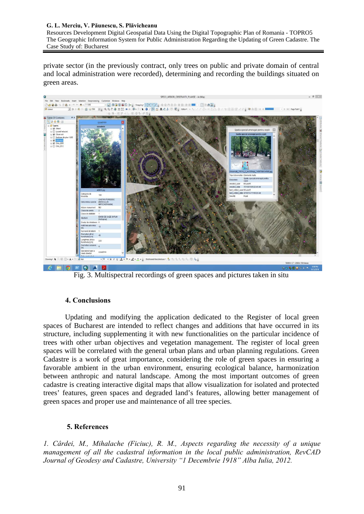#### **G. L. Merciu, V. Păunescu, S. Plăvicheanu**

Resources Development Digital Geospatial Data Using the Digital Topographic Plan of Romania - TOPRO5 The Geographic Information System for Public Administration Regarding the Updating of Green Cadastre. The Case Study of: Bucharest

private sector (in the previously contract, only trees on public and private domain of central and local administration were recorded), determining and recording the buildings situated on green areas.



Fig. 3. Multispectral recordings of green spaces and pictures taken in situ

# **4. Conclusions**

Updating and modifying the application dedicated to the Register of local green spaces of Bucharest are intended to reflect changes and additions that have occurred in its structure, including supplementing it with new functionalities on the particular incidence of trees with other urban objectives and vegetation management. The register of local green spaces will be correlated with the general urban plans and urban planning regulations. Green Cadastre is a work of great importance, considering the role of green spaces in ensuring a favorable ambient in the urban environment, ensuring ecological balance, harmonization between anthropic and natural landscape. Among the most important outcomes of green cadastre is creating interactive digital maps that allow visualization for isolated and protected trees' features, green spaces and degraded land's features, allowing better management of green spaces and proper use and maintenance of all tree species.

# **5. References**

*1. Cârdei, M., Mihalache (Ficiuc), R. M., Aspects regarding the necessity of a unique management of all the cadastral information in the local public administration, RevCAD Journal of Geodesy and Cadastre, University "1 Decembrie 1918" Alba Iulia, 2012.*